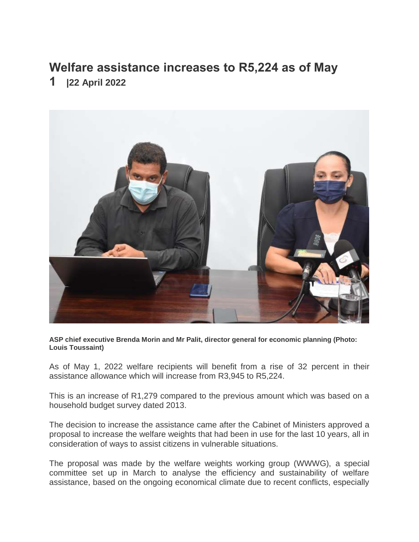## **Welfare assistance increases to R5,224 as of May**

**1 |22 April 2022**



**ASP chief executive Brenda Morin and Mr Palit, director general for economic planning (Photo: Louis Toussaint)**

As of May 1, 2022 welfare recipients will benefit from a rise of 32 percent in their assistance allowance which will increase from R3,945 to R5,224.

This is an increase of R1,279 compared to the previous amount which was based on a household budget survey dated 2013.

The decision to increase the assistance came after the Cabinet of Ministers approved a proposal to increase the welfare weights that had been in use for the last 10 years, all in consideration of ways to assist citizens in vulnerable situations.

The proposal was made by the welfare weights working group (WWWG), a special committee set up in March to analyse the efficiency and sustainability of welfare assistance, based on the ongoing economical climate due to recent conflicts, especially